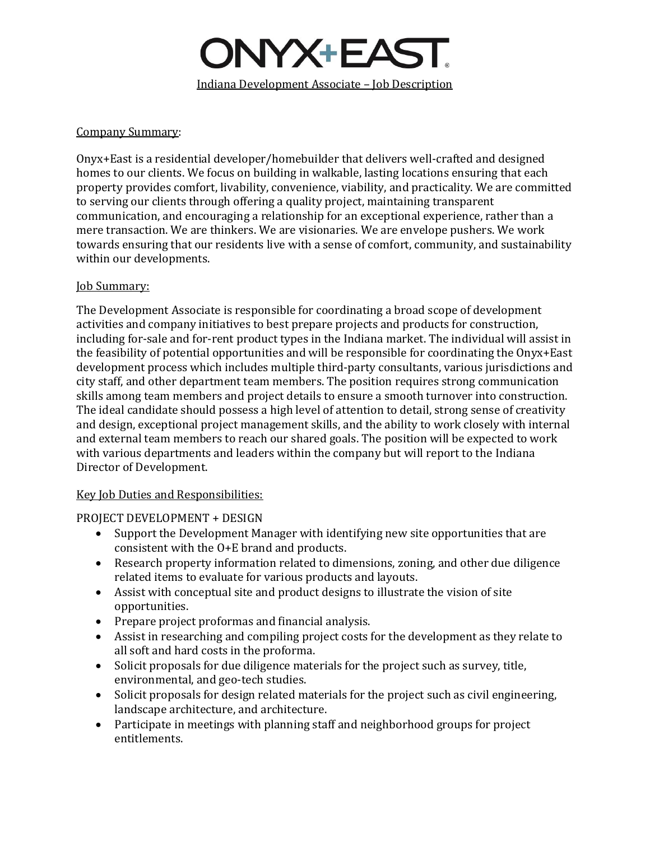

### Company Summary:

Onyx+East is a residential developer/homebuilder that delivers well-crafted and designed homes to our clients. We focus on building in walkable, lasting locations ensuring that each property provides comfort, livability, convenience, viability, and practicality. We are committed to serving our clients through offering a quality project, maintaining transparent communication, and encouraging a relationship for an exceptional experience, rather than a mere transaction. We are thinkers. We are visionaries. We are envelope pushers. We work towards ensuring that our residents live with a sense of comfort, community, and sustainability within our developments.

### **Job Summary:**

The Development Associate is responsible for coordinating a broad scope of development activities and company initiatives to best prepare projects and products for construction, including for-sale and for-rent product types in the Indiana market. The individual will assist in the feasibility of potential opportunities and will be responsible for coordinating the Onyx+East development process which includes multiple third-party consultants, various jurisdictions and city staff, and other department team members. The position requires strong communication skills among team members and project details to ensure a smooth turnover into construction. The ideal candidate should possess a high level of attention to detail, strong sense of creativity and design, exceptional project management skills, and the ability to work closely with internal and external team members to reach our shared goals. The position will be expected to work with various departments and leaders within the company but will report to the Indiana Director of Development.

### Key Job Duties and Responsibilities:

PROJECT DEVELOPMENT + DESIGN

- Support the Development Manager with identifying new site opportunities that are consistent with the O+E brand and products.
- Research property information related to dimensions, zoning, and other due diligence related items to evaluate for various products and layouts.
- Assist with conceptual site and product designs to illustrate the vision of site opportunities.
- Prepare project proformas and financial analysis.
- Assist in researching and compiling project costs for the development as they relate to all soft and hard costs in the proforma.
- Solicit proposals for due diligence materials for the project such as survey, title, environmental, and geo-tech studies.
- Solicit proposals for design related materials for the project such as civil engineering, landscape architecture, and architecture.
- Participate in meetings with planning staff and neighborhood groups for project entitlements.